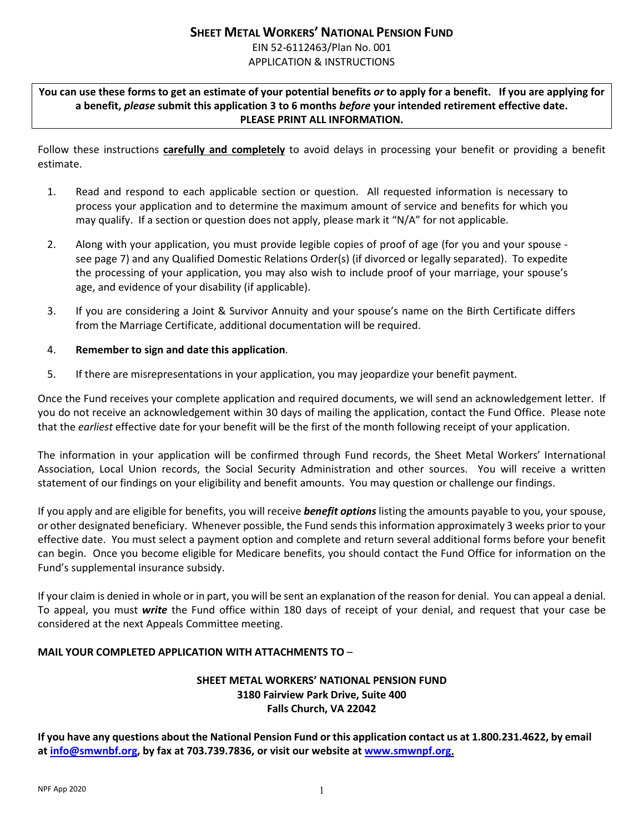# **SHEET METAL WORKERS' NATIONAL PENSION FUND**  EIN 52-6112463/Plan No. 001 APPLICATION & INSTRUCTIONS

**You can use these forms to get an estimate of your potential benefits** *or* **to apply for a benefit. If you are applying for a benefit,** *please* **submit this application 3 to 6 months** *before* **your intended retirement effective date. PLEASE PRINT ALL INFORMATION.**

Follow these instructions **carefully and completely** to avoid delays in processing your benefit or providing a benefit estimate.

- 1. Read and respond to each applicable section or question. All requested information is necessary to process your application and to determine the maximum amount of service and benefits for which you may qualify. If a section or question does not apply, please mark it "N/A" for not applicable.
- 2. Along with your application, you must provide legible copies of proof of age (for you and your spouse see page 7) and any Qualified Domestic Relations Order(s) (if divorced or legally separated). To expedite the processing of your application, you may also wish to include proof of your marriage, your spouse's age, and evidence of your disability (if applicable).
- 3. If you are considering a Joint & Survivor Annuity and your spouse's name on the Birth Certificate differs from the Marriage Certificate, additional documentation will be required.

## 4. **Remember to sign and date this application**.

5. If there are misrepresentations in your application, you may jeopardize your benefit payment.

Once the Fund receives your complete application and required documents, we will send an acknowledgement letter. If you do not receive an acknowledgement within 30 days of mailing the application, contact the Fund Office. Please note that the *earliest* effective date for your benefit will be the first of the month following receipt of your application.

The information in your application will be confirmed through Fund records, the Sheet Metal Workers' International Association, Local Union records, the Social Security Administration and other sources. You will receive a written statement of our findings on your eligibility and benefit amounts. You may question or challenge our findings.

If you apply and are eligible for benefits, you will receive *benefit options* listing the amounts payable to you, your spouse, or other designated beneficiary. Whenever possible, the Fund sends this information approximately 3 weeks prior to your effective date. You must select a payment option and complete and return several additional forms before your benefit can begin. Once you become eligible for Medicare benefits, you should contact the Fund Office for information on the Fund's supplemental insurance subsidy.

If your claim is denied in whole or in part, you will be sent an explanation of the reason for denial. You can appeal a denial. To appeal, you must *write* the Fund office within 180 days of receipt of your denial, and request that your case be considered at the next Appeals Committee meeting.

## **MAIL YOUR COMPLETED APPLICATION WITH ATTACHMENTS TO** –

## **SHEET METAL WORKERS' NATIONAL PENSION FUND 3180 Fairview Park Drive, Suite 400 Falls Church, VA 22042**

**If you have any questions about the National Pension Fund or this application contact us at 1.800.231.4622, by email a[t info@smwnbf.org,](mailto:info@smwnbf.org) by fax at 703.739.7836, or visit our website a[t www.smwnpf.org.](http://www.smwnpf.org/)**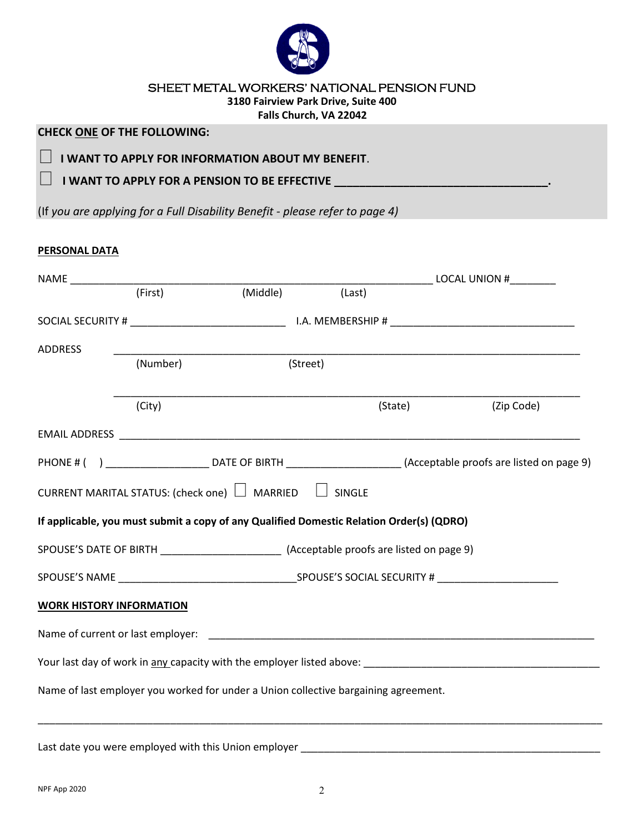

# SHEET METAL WORKERS' NATIONAL PENSION FUND

**3180 Fairview Park Drive, Suite 400**

**Falls Church, VA 22042**

# **CHECK ONE OF THE FOLLOWING:**

**I WANT TO APPLY FOR INFORMATION ABOUT MY BENEFIT.** 

**1 WANT TO APPLY FOR A PENSION TO BE EFFECTIVE \_\_\_\_\_\_\_\_\_\_\_\_\_\_\_\_\_\_\_\_\_\_\_\_** 

(If *you are applying for a Full Disability Benefit - please refer to page 4)*

## **PERSONAL DATA**

|                                 |          |                                                                                          |        |         | _________________ LOCAL UNION #_________                                                                                   |  |  |
|---------------------------------|----------|------------------------------------------------------------------------------------------|--------|---------|----------------------------------------------------------------------------------------------------------------------------|--|--|
|                                 | (First)  | (Middle) (Last)                                                                          |        |         |                                                                                                                            |  |  |
|                                 |          |                                                                                          |        |         |                                                                                                                            |  |  |
| <b>ADDRESS</b>                  |          |                                                                                          |        |         | <u> 1989 - Johann John Stoff, deutscher Stoffen und der Stoffen und der Stoffen und der Stoffen und der Stoffen u</u>      |  |  |
|                                 | (Number) | (Street)                                                                                 |        |         |                                                                                                                            |  |  |
|                                 | (City)   |                                                                                          |        | (State) | (Zip Code)                                                                                                                 |  |  |
|                                 |          |                                                                                          |        |         |                                                                                                                            |  |  |
|                                 |          |                                                                                          |        |         | PHONE # () _________________________________DATE OF BIRTH ________________________(Acceptable proofs are listed on page 9) |  |  |
|                                 |          | CURRENT MARITAL STATUS: (check one) $\Box$ MARRIED $\Box$                                | SINGLE |         |                                                                                                                            |  |  |
|                                 |          | If applicable, you must submit a copy of any Qualified Domestic Relation Order(s) (QDRO) |        |         |                                                                                                                            |  |  |
|                                 |          |                                                                                          |        |         |                                                                                                                            |  |  |
|                                 |          |                                                                                          |        |         |                                                                                                                            |  |  |
| <b>WORK HISTORY INFORMATION</b> |          |                                                                                          |        |         |                                                                                                                            |  |  |
|                                 |          |                                                                                          |        |         |                                                                                                                            |  |  |
|                                 |          |                                                                                          |        |         |                                                                                                                            |  |  |
|                                 |          | Name of last employer you worked for under a Union collective bargaining agreement.      |        |         |                                                                                                                            |  |  |
|                                 |          | Last date you were employed with this Union employer ___________________________         |        |         |                                                                                                                            |  |  |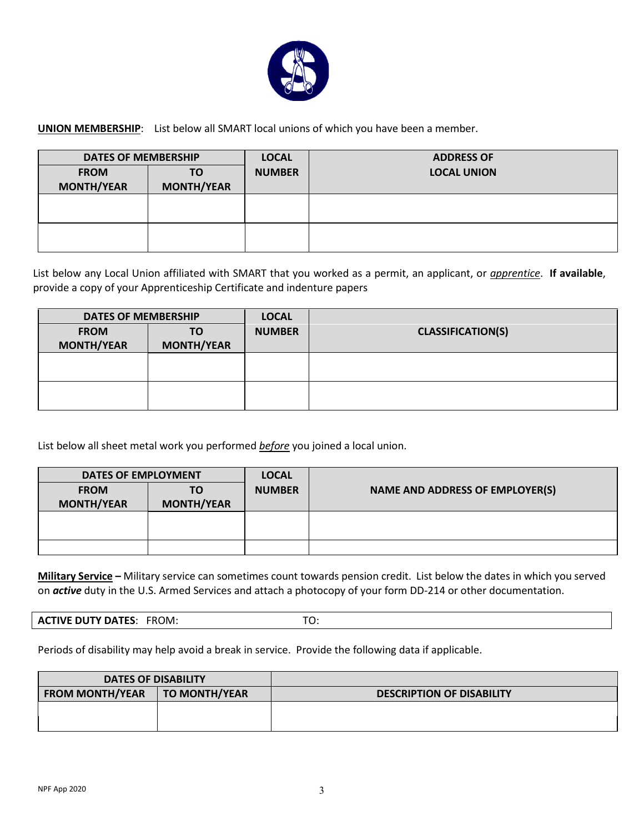

**UNION MEMBERSHIP**: List below all SMART local unions of which you have been a member.

| <b>DATES OF MEMBERSHIP</b>       |                         | <b>LOCAL</b>  | <b>ADDRESS OF</b>  |
|----------------------------------|-------------------------|---------------|--------------------|
| <b>FROM</b><br><b>MONTH/YEAR</b> | ΤO<br><b>MONTH/YEAR</b> | <b>NUMBER</b> | <b>LOCAL UNION</b> |
|                                  |                         |               |                    |
|                                  |                         |               |                    |

List below any Local Union affiliated with SMART that you worked as a permit, an applicant, or *apprentice*. **If available**, provide a copy of your Apprenticeship Certificate and indenture papers

| <b>DATES OF MEMBERSHIP</b>       |                         | <b>LOCAL</b>  |                          |
|----------------------------------|-------------------------|---------------|--------------------------|
| <b>FROM</b><br><b>MONTH/YEAR</b> | ΤO<br><b>MONTH/YEAR</b> | <b>NUMBER</b> | <b>CLASSIFICATION(S)</b> |
|                                  |                         |               |                          |
|                                  |                         |               |                          |

List below all sheet metal work you performed *before* you joined a local union.

| <b>DATES OF EMPLOYMENT</b> |                   | <b>LOCAL</b>  |                                        |
|----------------------------|-------------------|---------------|----------------------------------------|
| <b>FROM</b>                | TO                | <b>NUMBER</b> | <b>NAME AND ADDRESS OF EMPLOYER(S)</b> |
| <b>MONTH/YEAR</b>          | <b>MONTH/YEAR</b> |               |                                        |
|                            |                   |               |                                        |
|                            |                   |               |                                        |
|                            |                   |               |                                        |

**Military Service –** Military service can sometimes count towards pension credit. List below the dates in which you served on *active* duty in the U.S. Armed Services and attach a photocopy of your form DD-214 or other documentation.

**ACTIVE DUTY DATES: FROM: TO:** TO:

Periods of disability may help avoid a break in service. Provide the following data if applicable.

| <b>DATES OF DISABILITY</b> |                      |                                  |
|----------------------------|----------------------|----------------------------------|
| <b>FROM MONTH/YEAR</b>     | <b>TO MONTH/YEAR</b> | <b>DESCRIPTION OF DISABILITY</b> |
|                            |                      |                                  |
|                            |                      |                                  |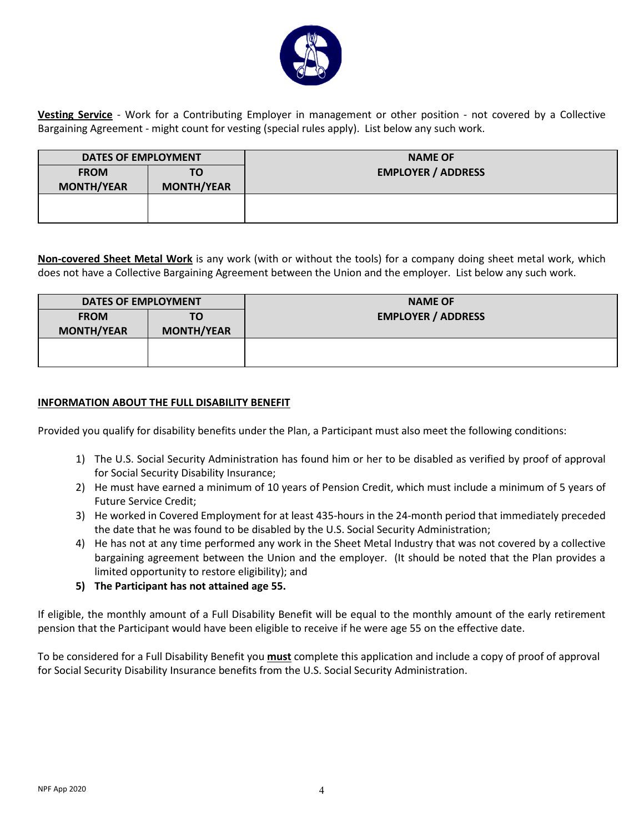

**Vesting Service** - Work for a Contributing Employer in management or other position - not covered by a Collective Bargaining Agreement - might count for vesting (special rules apply). List below any such work.

| <b>DATES OF EMPLOYMENT</b>       |                         | <b>NAME OF</b>            |
|----------------------------------|-------------------------|---------------------------|
| <b>FROM</b><br><b>MONTH/YEAR</b> | TΟ<br><b>MONTH/YEAR</b> | <b>EMPLOYER / ADDRESS</b> |
|                                  |                         |                           |

**Non-covered Sheet Metal Work** is any work (with or without the tools) for a company doing sheet metal work, which does not have a Collective Bargaining Agreement between the Union and the employer. List below any such work.

| <b>DATES OF EMPLOYMENT</b><br><b>FROM</b><br>TO<br><b>MONTH/YEAR</b><br><b>MONTH/YEAR</b> |  | <b>NAME OF</b><br><b>EMPLOYER / ADDRESS</b> |
|-------------------------------------------------------------------------------------------|--|---------------------------------------------|
|                                                                                           |  |                                             |

### **INFORMATION ABOUT THE FULL DISABILITY BENEFIT**

Provided you qualify for disability benefits under the Plan, a Participant must also meet the following conditions:

- 1) The U.S. Social Security Administration has found him or her to be disabled as verified by proof of approval for Social Security Disability Insurance;
- 2) He must have earned a minimum of 10 years of Pension Credit, which must include a minimum of 5 years of Future Service Credit;
- 3) He worked in Covered Employment for at least 435-hours in the 24-month period that immediately preceded the date that he was found to be disabled by the U.S. Social Security Administration;
- 4) He has not at any time performed any work in the Sheet Metal Industry that was not covered by a collective bargaining agreement between the Union and the employer. (It should be noted that the Plan provides a limited opportunity to restore eligibility); and
- **5) The Participant has not attained age 55.**

If eligible, the monthly amount of a Full Disability Benefit will be equal to the monthly amount of the early retirement pension that the Participant would have been eligible to receive if he were age 55 on the effective date.

To be considered for a Full Disability Benefit you **must** complete this application and include a copy of proof of approval for Social Security Disability Insurance benefits from the U.S. Social Security Administration.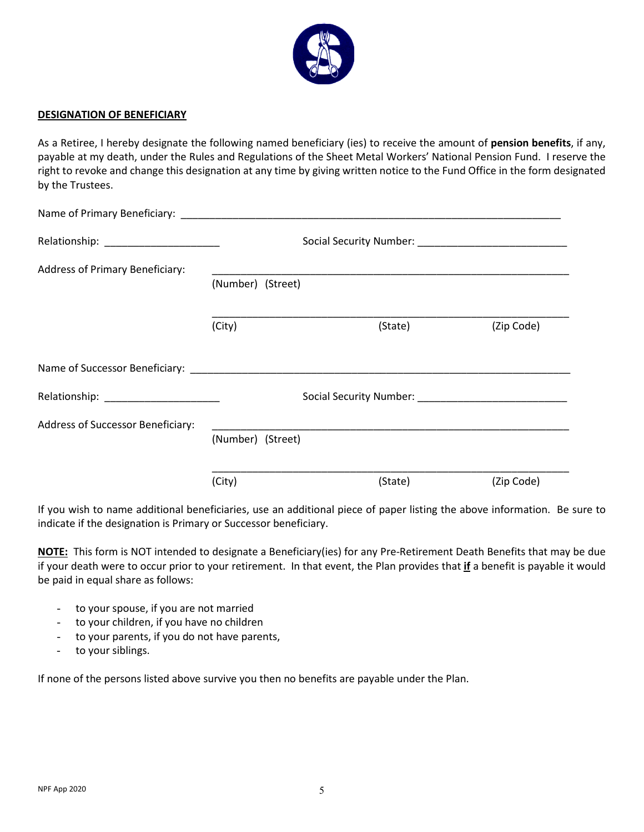

#### **DESIGNATION OF BENEFICIARY**

As a Retiree, I hereby designate the following named beneficiary (ies) to receive the amount of **pension benefits**, if any, payable at my death, under the Rules and Regulations of the Sheet Metal Workers' National Pension Fund. I reserve the right to revoke and change this designation at any time by giving written notice to the Fund Office in the form designated by the Trustees.

| <b>Address of Primary Beneficiary:</b>   | (Number) (Street) |                                                                                                                                                                                                                                |            |  |
|------------------------------------------|-------------------|--------------------------------------------------------------------------------------------------------------------------------------------------------------------------------------------------------------------------------|------------|--|
|                                          | (City)            | (State)                                                                                                                                                                                                                        | (Zip Code) |  |
|                                          |                   |                                                                                                                                                                                                                                |            |  |
|                                          |                   | Social Security Number: Name of the Contract of the Contract of the Contract of the Contract of the Contract of the Contract of the Contract of the Contract of the Contract of the Contract of the Contract of the Contract o |            |  |
| <b>Address of Successor Beneficiary:</b> | (Number) (Street) |                                                                                                                                                                                                                                |            |  |
|                                          | (City)            | (State)                                                                                                                                                                                                                        | (Zip Code) |  |

If you wish to name additional beneficiaries, use an additional piece of paper listing the above information. Be sure to indicate if the designation is Primary or Successor beneficiary.

**NOTE:** This form is NOT intended to designate a Beneficiary(ies) for any Pre-Retirement Death Benefits that may be due if your death were to occur prior to your retirement. In that event, the Plan provides that **if** a benefit is payable it would be paid in equal share as follows:

- to your spouse, if you are not married
- to your children, if you have no children
- to your parents, if you do not have parents,
- to your siblings.

If none of the persons listed above survive you then no benefits are payable under the Plan.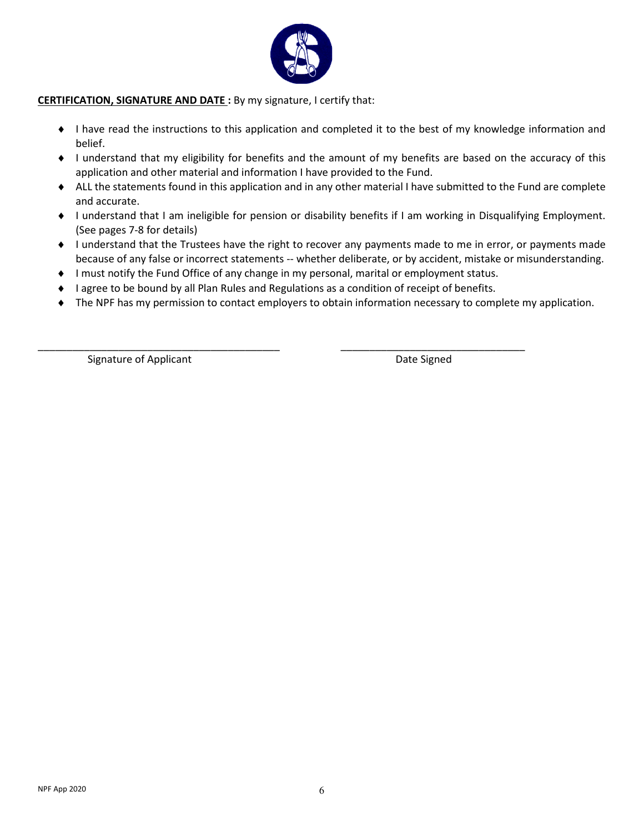

### **CERTIFICATION, SIGNATURE AND DATE :** By my signature, I certify that:

- ♦ I have read the instructions to this application and completed it to the best of my knowledge information and belief.
- ♦ I understand that my eligibility for benefits and the amount of my benefits are based on the accuracy of this application and other material and information I have provided to the Fund.
- ♦ ALL the statements found in this application and in any other material I have submitted to the Fund are complete and accurate.
- ♦ I understand that I am ineligible for pension or disability benefits if I am working in Disqualifying Employment. (See pages 7-8 for details)
- ♦ I understand that the Trustees have the right to recover any payments made to me in error, or payments made because of any false or incorrect statements -- whether deliberate, or by accident, mistake or misunderstanding.
- ♦ I must notify the Fund Office of any change in my personal, marital or employment status.

\_\_\_\_\_\_\_\_\_\_\_\_\_\_\_\_\_\_\_\_\_\_\_\_\_\_\_\_\_\_\_\_\_\_\_\_\_\_\_\_\_\_ \_\_\_\_\_\_\_\_\_\_\_\_\_\_\_\_\_\_\_\_\_\_\_\_\_\_\_\_\_\_\_\_

- ♦ I agree to be bound by all Plan Rules and Regulations as a condition of receipt of benefits.
- ♦ The NPF has my permission to contact employers to obtain information necessary to complete my application.

Signature of Applicant **Date Signed** Date Signed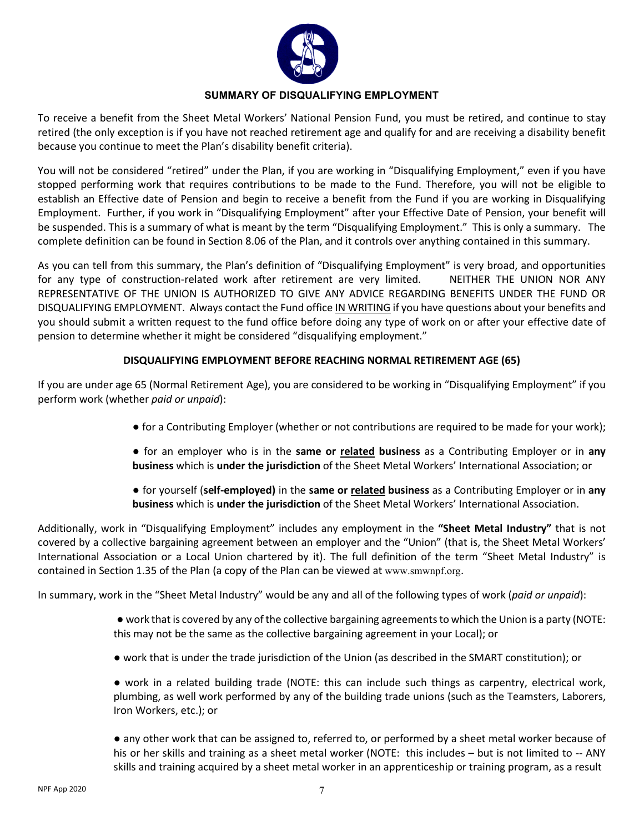

### **SUMMARY OF DISQUALIFYING EMPLOYMENT**

To receive a benefit from the Sheet Metal Workers' National Pension Fund, you must be retired, and continue to stay retired (the only exception is if you have not reached retirement age and qualify for and are receiving a disability benefit because you continue to meet the Plan's disability benefit criteria).

You will not be considered "retired" under the Plan, if you are working in "Disqualifying Employment," even if you have stopped performing work that requires contributions to be made to the Fund. Therefore, you will not be eligible to establish an Effective date of Pension and begin to receive a benefit from the Fund if you are working in Disqualifying Employment. Further, if you work in "Disqualifying Employment" after your Effective Date of Pension, your benefit will be suspended. This is a summary of what is meant by the term "Disqualifying Employment." This is only a summary. The complete definition can be found in Section 8.06 of the Plan, and it controls over anything contained in this summary.

As you can tell from this summary, the Plan's definition of "Disqualifying Employment" is very broad, and opportunities for any type of construction-related work after retirement are very limited. NEITHER THE UNION NOR ANY REPRESENTATIVE OF THE UNION IS AUTHORIZED TO GIVE ANY ADVICE REGARDING BENEFITS UNDER THE FUND OR DISQUALIFYING EMPLOYMENT. Always contact the Fund office IN WRITING if you have questions about your benefits and you should submit a written request to the fund office before doing any type of work on or after your effective date of pension to determine whether it might be considered "disqualifying employment."

### **DISQUALIFYING EMPLOYMENT BEFORE REACHING NORMAL RETIREMENT AGE (65)**

If you are under age 65 (Normal Retirement Age), you are considered to be working in "Disqualifying Employment" if you perform work (whether *paid or unpaid*):

- for a Contributing Employer (whether or not contributions are required to be made for your work);
- for an employer who is in the **same or related business** as a Contributing Employer or in **any business** which is **under the jurisdiction** of the Sheet Metal Workers' International Association; or
- for yourself (**self-employed)** in the **same or related business** as a Contributing Employer or in **any business** which is **under the jurisdiction** of the Sheet Metal Workers' International Association.

Additionally, work in "Disqualifying Employment" includes any employment in the **"Sheet Metal Industry"** that is not covered by a collective bargaining agreement between an employer and the "Union" (that is, the Sheet Metal Workers' International Association or a Local Union chartered by it). The full definition of the term "Sheet Metal Industry" is contained in Section 1.35 of the Plan (a copy of the Plan can be viewed at www.smwnpf.org.

In summary, work in the "Sheet Metal Industry" would be any and all of the following types of work (*paid or unpaid*):

- work that is covered by any of the collective bargaining agreements to which the Union is a party (NOTE: this may not be the same as the collective bargaining agreement in your Local); or
- work that is under the trade jurisdiction of the Union (as described in the SMART constitution); or

● work in a related building trade (NOTE: this can include such things as carpentry, electrical work, plumbing, as well work performed by any of the building trade unions (such as the Teamsters, Laborers, Iron Workers, etc.); or

● any other work that can be assigned to, referred to, or performed by a sheet metal worker because of his or her skills and training as a sheet metal worker (NOTE: this includes – but is not limited to -- ANY skills and training acquired by a sheet metal worker in an apprenticeship or training program, as a result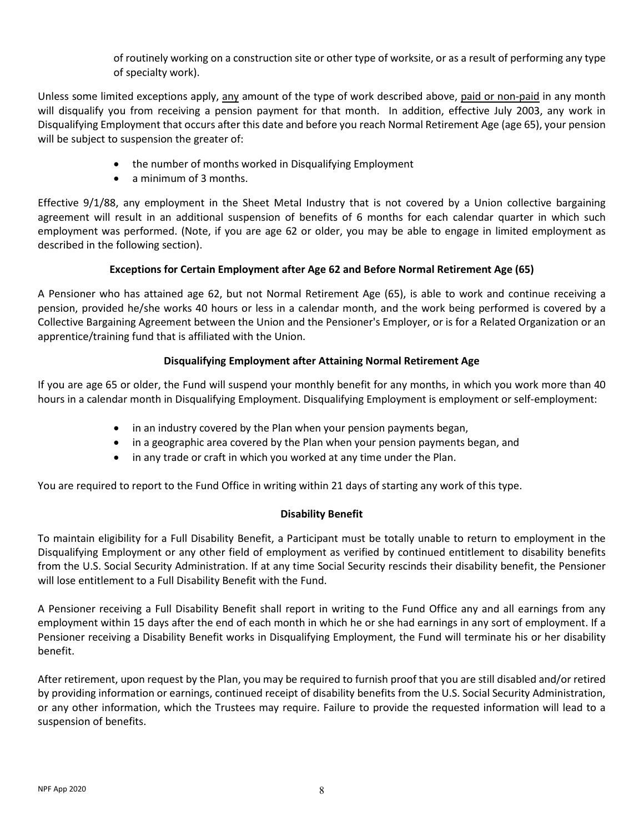of routinely working on a construction site or other type of worksite, or as a result of performing any type of specialty work).

Unless some limited exceptions apply, any amount of the type of work described above, paid or non-paid in any month will disqualify you from receiving a pension payment for that month. In addition, effective July 2003, any work in Disqualifying Employment that occurs after this date and before you reach Normal Retirement Age (age 65), your pension will be subject to suspension the greater of:

- the number of months worked in Disqualifying Employment
- a minimum of 3 months.

Effective 9/1/88, any employment in the Sheet Metal Industry that is not covered by a Union collective bargaining agreement will result in an additional suspension of benefits of 6 months for each calendar quarter in which such employment was performed. (Note, if you are age 62 or older, you may be able to engage in limited employment as described in the following section).

## **Exceptions for Certain Employment after Age 62 and Before Normal Retirement Age (65)**

A Pensioner who has attained age 62, but not Normal Retirement Age (65), is able to work and continue receiving a pension, provided he/she works 40 hours or less in a calendar month, and the work being performed is covered by a Collective Bargaining Agreement between the Union and the Pensioner's Employer, or is for a Related Organization or an apprentice/training fund that is affiliated with the Union.

# **Disqualifying Employment after Attaining Normal Retirement Age**

If you are age 65 or older, the Fund will suspend your monthly benefit for any months, in which you work more than 40 hours in a calendar month in Disqualifying Employment. Disqualifying Employment is employment or self-employment:

- in an industry covered by the Plan when your pension payments began,
- in a geographic area covered by the Plan when your pension payments began, and
- in any trade or craft in which you worked at any time under the Plan.

You are required to report to the Fund Office in writing within 21 days of starting any work of this type.

# **Disability Benefit**

To maintain eligibility for a Full Disability Benefit, a Participant must be totally unable to return to employment in the Disqualifying Employment or any other field of employment as verified by continued entitlement to disability benefits from the U.S. Social Security Administration. If at any time Social Security rescinds their disability benefit, the Pensioner will lose entitlement to a Full Disability Benefit with the Fund.

A Pensioner receiving a Full Disability Benefit shall report in writing to the Fund Office any and all earnings from any employment within 15 days after the end of each month in which he or she had earnings in any sort of employment. If a Pensioner receiving a Disability Benefit works in Disqualifying Employment, the Fund will terminate his or her disability benefit.

After retirement, upon request by the Plan, you may be required to furnish proof that you are still disabled and/or retired by providing information or earnings, continued receipt of disability benefits from the U.S. Social Security Administration, or any other information, which the Trustees may require. Failure to provide the requested information will lead to a suspension of benefits.